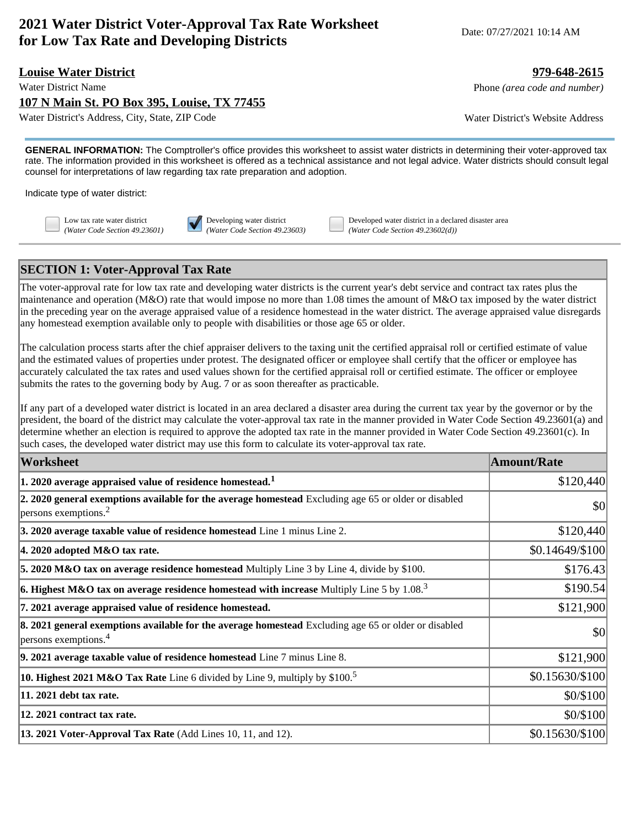# **2021 Water District Voter-Approval Tax Rate Worksheet for Low Tax Rate and Developing Districts**  $\frac{1}{2}$  Date: 07/27/2021 10:14 AM

#### **Louise Water District 979-648-2615**

**107 N Main St. PO Box 395, Louise, TX 77455**

Water District's Address, City, State, ZIP Code Water District's Website Address

Water District Name **Phone** *(area code and number)* Phone *(area code and number)* 

**GENERAL INFORMATION:** The Comptroller's office provides this worksheet to assist water districts in determining their voter-approved tax rate. The information provided in this worksheet is offered as a technical assistance and not legal advice. Water districts should consult legal counsel for interpretations of law regarding tax rate preparation and adoption.

Indicate type of water district:



Low tax rate water district **Developing water district** Developed water district in a declared disaster area *(Water Code Section 49.23601) (Water Code Section 49.23603) (Water Code Section 49.23602(d))*

## **SECTION 1: Voter-Approval Tax Rate**

The voter-approval rate for low tax rate and developing water districts is the current year's debt service and contract tax rates plus the maintenance and operation (M&O) rate that would impose no more than 1.08 times the amount of M&O tax imposed by the water district in the preceding year on the average appraised value of a residence homestead in the water district. The average appraised value disregards any homestead exemption available only to people with disabilities or those age 65 or older.

The calculation process starts after the chief appraiser delivers to the taxing unit the certified appraisal roll or certified estimate of value and the estimated values of properties under protest. The designated officer or employee shall certify that the officer or employee has accurately calculated the tax rates and used values shown for the certified appraisal roll or certified estimate. The officer or employee submits the rates to the governing body by Aug. 7 or as soon thereafter as practicable.

If any part of a developed water district is located in an area declared a disaster area during the current tax year by the governor or by the president, the board of the district may calculate the voter-approval tax rate in the manner provided in Water Code Section 49.23601(a) and determine whether an election is required to approve the adopted tax rate in the manner provided in Water Code Section 49.23601(c). In such cases, the developed water district may use this form to calculate its voter-approval tax rate.

| Worksheet                                                                                                                                    | <b>Amount/Rate</b> |
|----------------------------------------------------------------------------------------------------------------------------------------------|--------------------|
| $ 1$ . 2020 average appraised value of residence homestead. $^1$                                                                             | \$120,440          |
| 2. 2020 general exemptions available for the average homestead Excluding age 65 or older or disabled<br>$ p$ ersons exemptions. <sup>2</sup> | \$0                |
| 3. 2020 average taxable value of residence homestead Line 1 minus Line 2.                                                                    | \$120,440          |
| $ 4.2020$ adopted M&O tax rate.                                                                                                              | \$0.14649/\$100    |
| 5. 2020 M&O tax on average residence homestead Multiply Line 3 by Line 4, divide by \$100.                                                   | \$176.43           |
| $ $ 6. Highest M&O tax on average residence homestead with increase Multiply Line 5 by 1.08. $^3$                                            | \$190.54           |
| 7. 2021 average appraised value of residence homestead.                                                                                      | \$121,900          |
| 8. 2021 general exemptions available for the average homestead Excluding age 65 or older or disabled<br>$ p$ ersons exemptions. <sup>4</sup> | \$0                |
| $\vert$ 9. 2021 average taxable value of residence homestead Line $7$ minus Line 8.                                                          | \$121,900          |
| <b>10. Highest 2021 M&amp;O Tax Rate</b> Line 6 divided by Line 9, multiply by \$100. <sup>5</sup>                                           | \$0.15630/\$100    |
| 11. 2021 debt tax rate.                                                                                                                      | \$0/\$100          |
| 12. 2021 contract tax rate.                                                                                                                  | \$0/\$100          |
| 13. 2021 Voter-Approval Tax Rate (Add Lines 10, 11, and 12).                                                                                 | \$0.15630/\$100    |